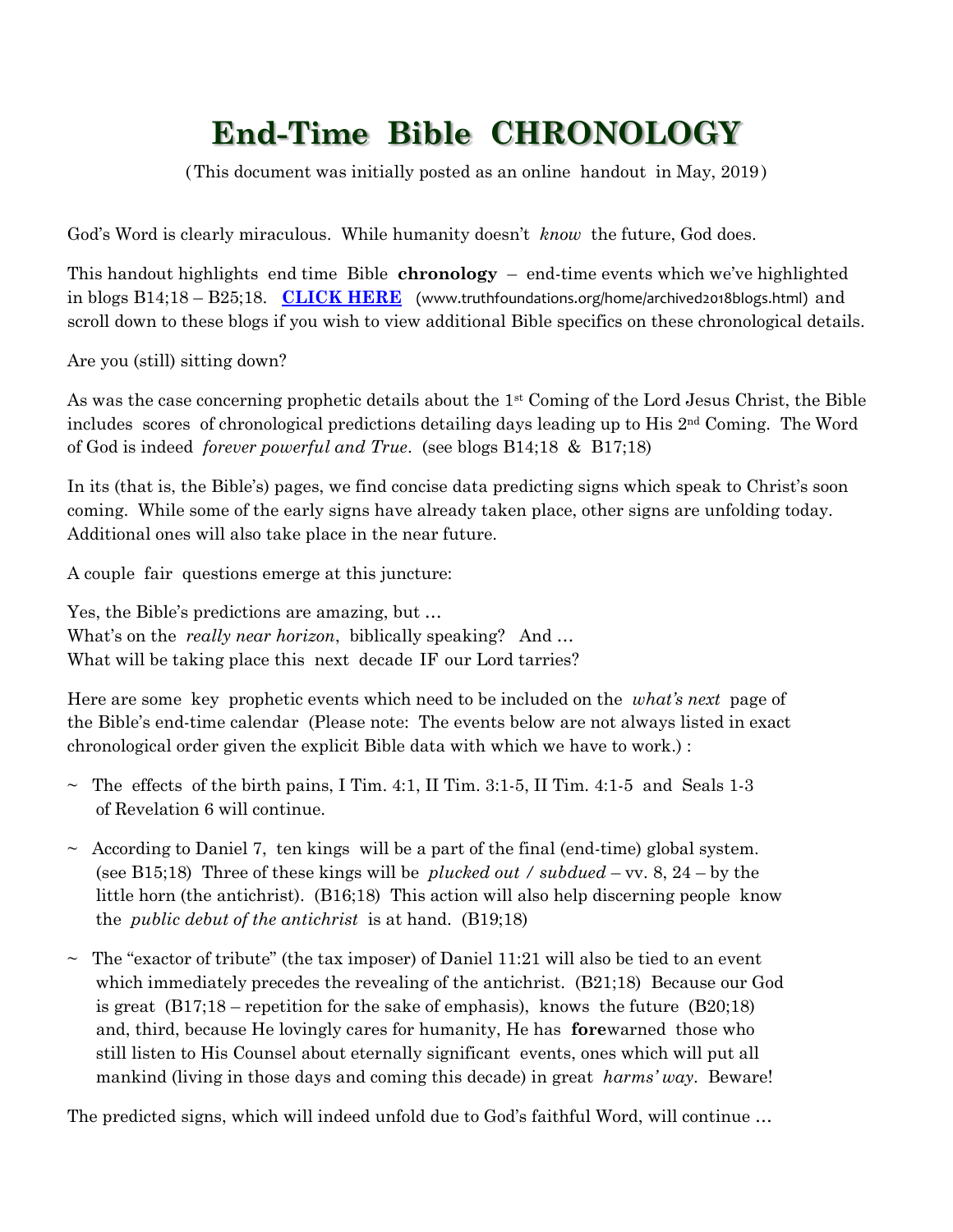## **End-Time Bible CHRONOLOGY**

(This document was initially posted as an online handout in May, 2019 )

God's Word is clearly miraculous. While humanity doesn't *know* the future, God does.

This handout highlights end time Bible **chronology** – end-time events which we've highlighted in blogs B14;18 – B25;18. **[CLICK HERE](http://www.truthfoundations.org/home/archived2018blogs.html)** (www.truthfoundations.org/home/archived2018blogs.html) and scroll down to these blogs if you wish to view additional Bible specifics on these chronological details.

Are you (still) sitting down?

As was the case concerning prophetic details about the 1st Coming of the Lord Jesus Christ, the Bible includes scores of chronological predictions detailing days leading up to His  $2<sup>nd</sup>$  Coming. The Word of God is indeed *forever powerful and True*. (see blogs B14;18 & B17;18)

In its (that is, the Bible's) pages, we find concise data predicting signs which speak to Christ's soon coming. While some of the early signs have already taken place, other signs are unfolding today. Additional ones will also take place in the near future.

A couple fair questions emerge at this juncture:

Yes, the Bible's predictions are amazing, but … What's on the *really near horizon*, biblically speaking? And ... What will be taking place this next decade IF our Lord tarries?

Here are some key prophetic events which need to be included on the *what's next* page of the Bible's end-time calendar (Please note: The events below are not always listed in exact chronological order given the explicit Bible data with which we have to work.) :

- $\sim$  The effects of the birth pains, I Tim. 4:1, II Tim. 3:1-5, II Tim. 4:1-5 and Seals 1-3 of Revelation 6 will continue.
- $\sim$  According to Daniel 7, ten kings will be a part of the final (end-time) global system. (see B15;18) Three of these kings will be *plucked out / subdued* – vv. 8, 24 – by the little horn (the antichrist). (B16;18) This action will also help discerning people know the *public debut of the antichrist* is at hand. (B19;18)
- $\sim$  The "exactor of tribute" (the tax imposer) of Daniel 11:21 will also be tied to an event which immediately precedes the revealing of the antichrist. (B21;18) Because our God is great  $(B17;18$  – repetition for the sake of emphasis), knows the future  $(B20;18)$  and, third, because He lovingly cares for humanity, He has **fore**warned those who still listen to His Counsel about eternally significant events, ones which will put all mankind (living in those days and coming this decade) in great *harms' way*. Beware!

The predicted signs, which will indeed unfold due to God's faithful Word, will continue …